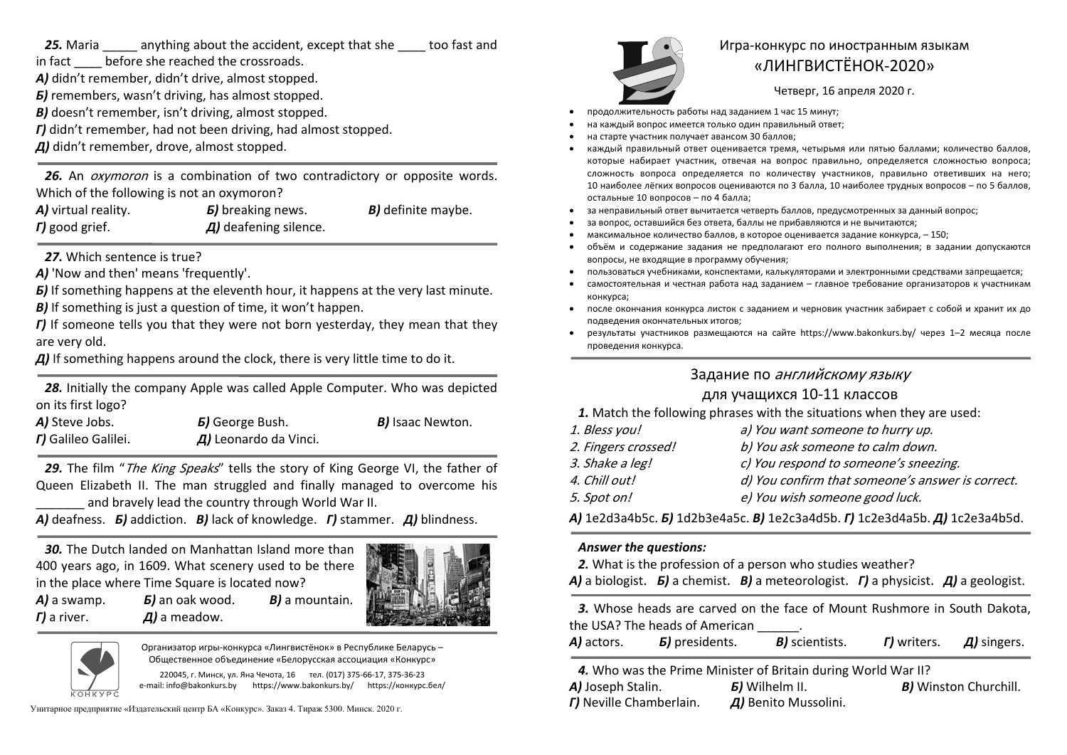**25.** Maria anything about the accident, except that she too fast and

in fact before she reached the crossroads.

*А)* didn't remember, didn't drive, almost stopped.

*Б)* remembers, wasn't driving, has almost stopped.

*В)* doesn't remember, isn't driving, almost stopped.

*Г)* didn't remember, had not been driving, had almost stopped.

*Д)* didn't remember, drove, almost stopped.

26. An *oxymoron* is a combination of two contradictory or opposite words. Which of the following is not an oxymoron?

| A) virtual reality.    | <b><i>b</i></b> ) breaking news.    | <b>B)</b> definite maybe. |
|------------------------|-------------------------------------|---------------------------|
| $\Gamma$ ) good grief. | $\overline{A}$ ) deafening silence. |                           |

*27.* Which sentence is true?

*А)* 'Now and then' means 'frequently'.

*Б)* If something happens at the eleventh hour, it happens at the very last minute.

*В)* If something is just a question of time, it won't happen.

*Г)* If someone tells you that they were not born yesterday, they mean that they are very old.

*Д)* If something happens around the clock, there is very little time to do it.

*28.* Initially the company Apple was called Apple Computer. Who was depicted on its first logo?

| A) Steve Jobs.      | <b><i>B</i></b> ) George Bush.      | <b>B</b> ) Isaac Newton. |  |
|---------------------|-------------------------------------|--------------------------|--|
| r) Galileo Galilei. | $\overline{A}$ ) Leonardo da Vinci. |                          |  |
|                     |                                     |                          |  |

29. The film "*The King Speaks*" tells the story of King George VI, the father of Queen Elizabeth II. The man struggled and finally managed to overcome his and bravely lead the country through World War II.

*А)* deafness. *Б)* addiction. *В)* lack of knowledge. *Г)* stammer. *Д)* blindness.

*30.* The Dutch landed on Manhattan Island more than 400 years ago, in 1609. What scenery used to be there in the place where Time Square is located now?

*Б)* an oak wood.

*Д)* a meadow.





*А)* a swamp.

*Г)* a river.

Организатор игры-конкурса «Лингвистёнок» <sup>в</sup> Республике Беларусь – Общественное объединение «Белорусская ассоциация «Конкурс»

*В)* a mountain.

220045, <sup>г</sup>. Минск, ул. Яна Чечота, 16 тел. (017) 375-66-17, 375-36-23 e-mail: info@bakonkurs.by https://www.bakonkurs.by/ https://конкурс.бел/

Унитарное предприятие «Издательский центр БА «Конкурс». Заказ 4. Тираж 5300. Минск. 2020 г.<br>**Г)** Neville Chamberlain. **Д)** Benito Mussolini.



# Игра-конкурс по иностранным языкам «ЛИНГВИСТЁНОК-2020»

Четверг, 16 апреля 2020 г.

- . продолжительность работы над заданием 1 час 15 минут;
- . на каждый вопрос имеется только один правильный ответ;
- . на старте участник получает авансом 30 баллов;
- . каждый правильный ответ оценивается тремя, четырьмя или пятью баллами; количество баллов, которые набирает участник, отвечая на вопрос правильно, определяется сложностью вопроса; сложность вопроса определяется по количеству участников, правильно ответивших на него; 10 наиболее лёгких вопросов оцениваются по 3 балла, 10 наиболее трудных вопросов – по 5 баллов, остальные 10 вопросов – по 4 балла;
- . за неправильный ответ вычитается четверть баллов, предусмотренных за данный вопрос;
- . за вопрос, оставшийся без ответа, баллы не прибавляются <sup>и</sup> не вычитаются;
- . максимальное количество баллов, <sup>в</sup> которое оценивается задание конкурса, – 150;
- . объём и содержание задания не предполагают его полного выполнения; в задании допускаются вопросы, не входящие <sup>в</sup> программу обучения;
- . пользоваться учебниками, конспектами, калькуляторами <sup>и</sup> электронными средствами запрещается;
- ۰ самостоятельная и честная работа над заданием – главное требование организаторов <sup>к</sup> участникам конкурса;
- . после окончания конкурса листок <sup>с</sup> заданием <sup>и</sup> черновик участник забирает <sup>с</sup> собой <sup>и</sup> хранит их до подведения окончательных итогов;
- . результаты участников размещаются на сайте https://www.bakonkurs.by/ через 1–2 месяца после проведения конкурса.

## Задание по английскому языку

## для учащихся 10-11 классов

*1.* Match the following phrases with the situations when they are used:

| 1. Bless you!       | a) You want someone to hurry up.                 |
|---------------------|--------------------------------------------------|
| 2. Fingers crossed! | b) You ask someone to calm down.                 |
| 3. Shake a leg!     | c) You respond to someone's sneezing.            |
| 4. Chill out!       | d) You confirm that someone's answer is correct. |
| 5. Spot on!         | e) You wish someone good luck.                   |

*А)* 1e2d3a4b5c. *Б)* 1d2b3e4a5c. *В)* 1e2c3a4d5b. *Г)* 1c2e3d4a5b. *Д)* 1с2e3a4b5d.

#### *Answer the questions:*

*2.* What is the profession of a person who studies weather?

*А)* a biologist. *Б)* a chemist. *В)* a meteorologist. *Г)* a physicist. *Д)* a geologist.

*3.* Whose heads are carved on the face of Mount Rushmore in South Dakota, the USA? The heads of American .

| A) actors.<br><b>B)</b> scientists.<br><b><i>B</i></b> ) presidents.<br><b>r)</b> writers.<br>$\overline{A}$ ) singers. |
|-------------------------------------------------------------------------------------------------------------------------|
|-------------------------------------------------------------------------------------------------------------------------|

*4.* Who was the Prime Minister of Britain during World War II?

*А)* Joseph Stalin. *Г)* Neville Chamberlain.

*Б)* Wilhelm II. *В)* Winston Churchill.